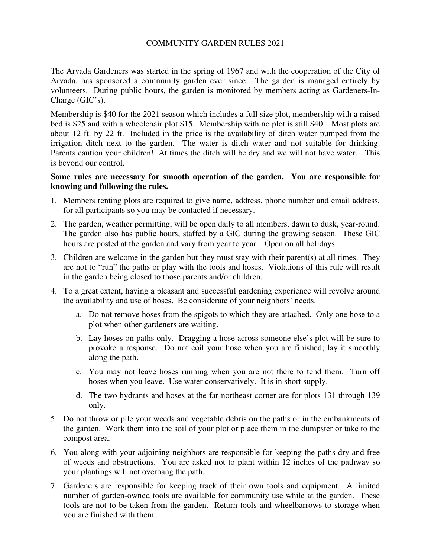### COMMUNITY GARDEN RULES 2021

The Arvada Gardeners was started in the spring of 1967 and with the cooperation of the City of Arvada, has sponsored a community garden ever since. The garden is managed entirely by volunteers. During public hours, the garden is monitored by members acting as Gardeners-In-Charge (GIC's).

Membership is \$40 for the 2021 season which includes a full size plot, membership with a raised bed is \$25 and with a wheelchair plot \$15. Membership with no plot is still \$40. Most plots are about 12 ft. by 22 ft. Included in the price is the availability of ditch water pumped from the irrigation ditch next to the garden. The water is ditch water and not suitable for drinking. Parents caution your children! At times the ditch will be dry and we will not have water. This is beyond our control.

### **Some rules are necessary for smooth operation of the garden. You are responsible for knowing and following the rules.**

- 1. Members renting plots are required to give name, address, phone number and email address, for all participants so you may be contacted if necessary.
- 2. The garden, weather permitting, will be open daily to all members, dawn to dusk, year-round. The garden also has public hours, staffed by a GIC during the growing season. These GIC hours are posted at the garden and vary from year to year. Open on all holidays.
- 3. Children are welcome in the garden but they must stay with their parent(s) at all times. They are not to "run" the paths or play with the tools and hoses. Violations of this rule will result in the garden being closed to those parents and/or children.
- 4. To a great extent, having a pleasant and successful gardening experience will revolve around the availability and use of hoses. Be considerate of your neighbors' needs.
	- a. Do not remove hoses from the spigots to which they are attached. Only one hose to a plot when other gardeners are waiting.
	- b. Lay hoses on paths only. Dragging a hose across someone else's plot will be sure to provoke a response. Do not coil your hose when you are finished; lay it smoothly along the path.
	- c. You may not leave hoses running when you are not there to tend them. Turn off hoses when you leave. Use water conservatively. It is in short supply.
	- d. The two hydrants and hoses at the far northeast corner are for plots 131 through 139 only.
- 5. Do not throw or pile your weeds and vegetable debris on the paths or in the embankments of the garden. Work them into the soil of your plot or place them in the dumpster or take to the compost area.
- 6. You along with your adjoining neighbors are responsible for keeping the paths dry and free of weeds and obstructions. You are asked not to plant within 12 inches of the pathway so your plantings will not overhang the path.
- 7. Gardeners are responsible for keeping track of their own tools and equipment. A limited number of garden-owned tools are available for community use while at the garden. These tools are not to be taken from the garden. Return tools and wheelbarrows to storage when you are finished with them.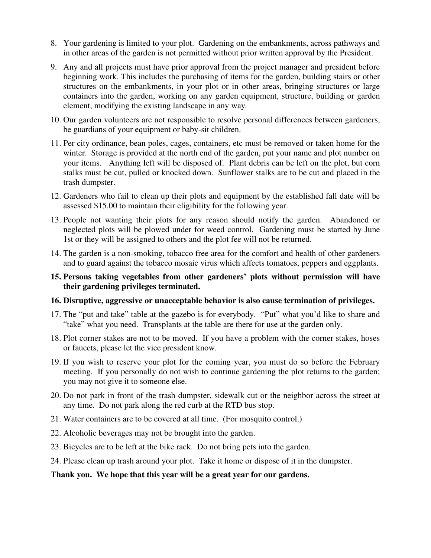- 8. Your gardening is limited to your plot. Gardening on the embankments, across pathways and in other areas of the garden is not permitted without prior written approval by the President.
- 9. Any and all projects must have prior approval from the project manager and president before beginning work. This includes the purchasing of items for the garden, building stairs or other structures on the embankments, in your plot or in other areas, bringing structures or large containers into the garden, working on any garden equipment, structure, building or garden element, modifying the existing landscape in any way*.*
- 10. Our garden volunteers are not responsible to resolve personal differences between gardeners, be guardians of your equipment or baby-sit children.
- 11. Per city ordinance, bean poles, cages, containers, etc must be removed or taken home for the winter. Storage is provided at the north end of the garden, put your name and plot number on your items. Anything left will be disposed of. Plant debris can be left on the plot, but corn stalks must be cut, pulled or knocked down. Sunflower stalks are to be cut and placed in the trash dumpster.
- 12. Gardeners who fail to clean up their plots and equipment by the established fall date will be assessed \$15.00 to maintain their eligibility for the following year.
- 13. People not wanting their plots for any reason should notify the garden. Abandoned or neglected plots will be plowed under for weed control. Gardening must be started by June 1st or they will be assigned to others and the plot fee will not be returned.
- 14. The garden is a non-smoking, tobacco free area for the comfort and health of other gardeners and to guard against the tobacco mosaic virus which affects tomatoes, peppers and eggplants.
- **15. Persons taking vegetables from other gardeners' plots without permission will have their gardening privileges terminated.**

### **16. Disruptive, aggressive or unacceptable behavior is also cause termination of privileges.**

- 17. The "put and take" table at the gazebo is for everybody. "Put" what you'd like to share and "take" what you need. Transplants at the table are there for use at the garden only.
- 18. Plot corner stakes are not to be moved. If you have a problem with the corner stakes, hoses or faucets, please let the vice president know.
- 19. If you wish to reserve your plot for the coming year, you must do so before the February meeting. If you personally do not wish to continue gardening the plot returns to the garden; you may not give it to someone else.
- 20. Do not park in front of the trash dumpster, sidewalk cut or the neighbor across the street at any time. Do not park along the red curb at the RTD bus stop.
- 21. Water containers are to be covered at all time. (For mosquito control.)
- 22. Alcoholic beverages may not be brought into the garden.
- 23. Bicycles are to be left at the bike rack. Do not bring pets into the garden.
- 24. Please clean up trash around your plot. Take it home or dispose of it in the dumpster.

#### **Thank you. We hope that this year will be a great year for our gardens.**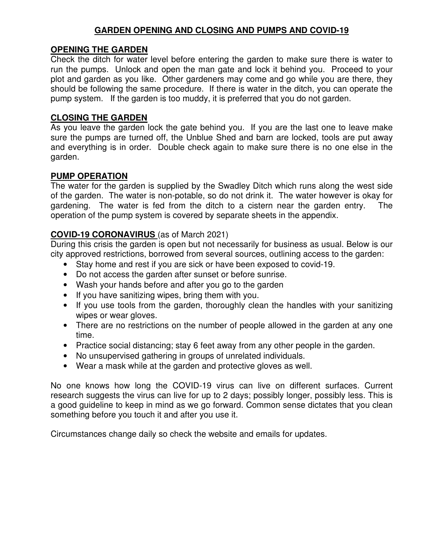## **GARDEN OPENING AND CLOSING AND PUMPS AND COVID-19**

## **OPENING THE GARDEN**

Check the ditch for water level before entering the garden to make sure there is water to run the pumps. Unlock and open the man gate and lock it behind you. Proceed to your plot and garden as you like. Other gardeners may come and go while you are there, they should be following the same procedure. If there is water in the ditch, you can operate the pump system. If the garden is too muddy, it is preferred that you do not garden.

## **CLOSING THE GARDEN**

As you leave the garden lock the gate behind you. If you are the last one to leave make sure the pumps are turned off, the Unblue Shed and barn are locked, tools are put away and everything is in order. Double check again to make sure there is no one else in the garden.

### **PUMP OPERATION**

The water for the garden is supplied by the Swadley Ditch which runs along the west side of the garden. The water is non-potable, so do not drink it. The water however is okay for gardening. The water is fed from the ditch to a cistern near the garden entry. The operation of the pump system is covered by separate sheets in the appendix.

# **COVID-19 CORONAVIRUS** (as of March 2021)

During this crisis the garden is open but not necessarily for business as usual. Below is our city approved restrictions, borrowed from several sources, outlining access to the garden:

- Stay home and rest if you are sick or have been exposed to covid-19.
- Do not access the garden after sunset or before sunrise.
- Wash your hands before and after you go to the garden
- If you have sanitizing wipes, bring them with you.
- If you use tools from the garden, thoroughly clean the handles with your sanitizing wipes or wear gloves.
- There are no restrictions on the number of people allowed in the garden at any one time.
- Practice social distancing; stay 6 feet away from any other people in the garden.
- No unsupervised gathering in groups of unrelated individuals.
- Wear a mask while at the garden and protective gloves as well.

No one knows how long the COVID-19 virus can live on different surfaces. Current research suggests the virus can live for up to 2 days; possibly longer, possibly less. This is a good guideline to keep in mind as we go forward. Common sense dictates that you clean something before you touch it and after you use it.

Circumstances change daily so check the website and emails for updates.